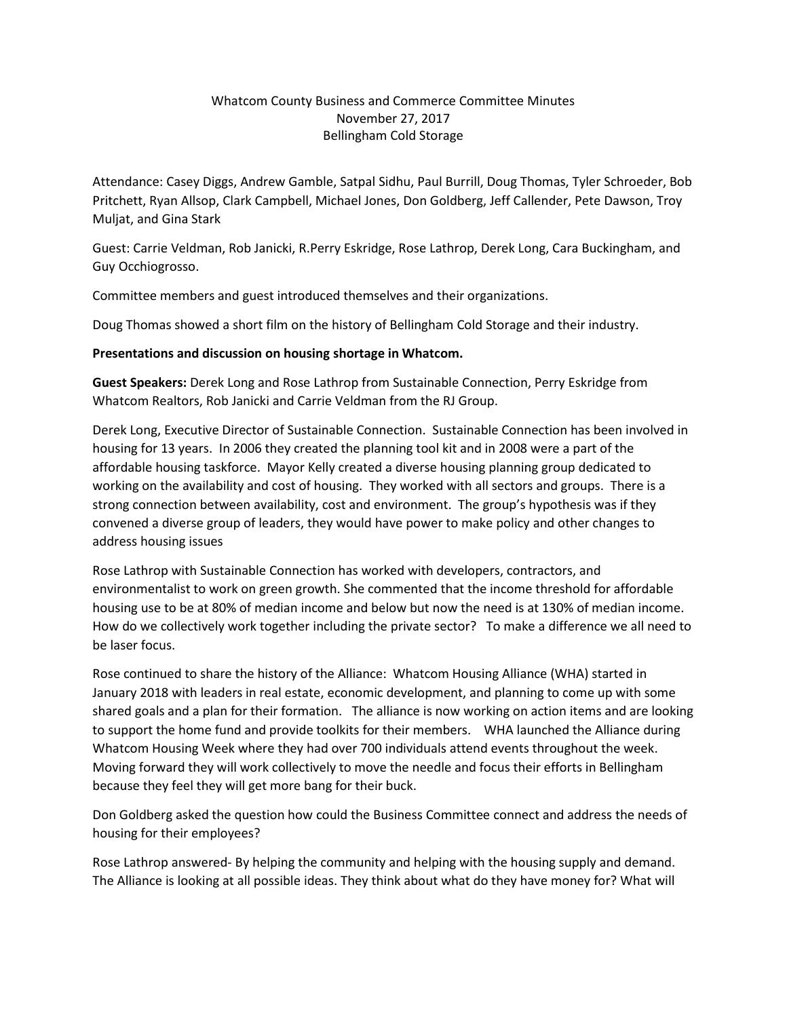## Whatcom County Business and Commerce Committee Minutes November 27, 2017 Bellingham Cold Storage

Attendance: Casey Diggs, Andrew Gamble, Satpal Sidhu, Paul Burrill, Doug Thomas, Tyler Schroeder, Bob Pritchett, Ryan Allsop, Clark Campbell, Michael Jones, Don Goldberg, Jeff Callender, Pete Dawson, Troy Muljat, and Gina Stark

Guest: Carrie Veldman, Rob Janicki, R.Perry Eskridge, Rose Lathrop, Derek Long, Cara Buckingham, and Guy Occhiogrosso.

Committee members and guest introduced themselves and their organizations.

Doug Thomas showed a short film on the history of Bellingham Cold Storage and their industry.

## **Presentations and discussion on housing shortage in Whatcom.**

**Guest Speakers:** Derek Long and Rose Lathrop from Sustainable Connection, Perry Eskridge from Whatcom Realtors, Rob Janicki and Carrie Veldman from the RJ Group.

Derek Long, Executive Director of Sustainable Connection. Sustainable Connection has been involved in housing for 13 years. In 2006 they created the planning tool kit and in 2008 were a part of the affordable housing taskforce. Mayor Kelly created a diverse housing planning group dedicated to working on the availability and cost of housing. They worked with all sectors and groups. There is a strong connection between availability, cost and environment. The group's hypothesis was if they convened a diverse group of leaders, they would have power to make policy and other changes to address housing issues

Rose Lathrop with Sustainable Connection has worked with developers, contractors, and environmentalist to work on green growth. She commented that the income threshold for affordable housing use to be at 80% of median income and below but now the need is at 130% of median income. How do we collectively work together including the private sector? To make a difference we all need to be laser focus.

Rose continued to share the history of the Alliance: Whatcom Housing Alliance (WHA) started in January 2018 with leaders in real estate, economic development, and planning to come up with some shared goals and a plan for their formation. The alliance is now working on action items and are looking to support the home fund and provide toolkits for their members. WHA launched the Alliance during Whatcom Housing Week where they had over 700 individuals attend events throughout the week. Moving forward they will work collectively to move the needle and focus their efforts in Bellingham because they feel they will get more bang for their buck.

Don Goldberg asked the question how could the Business Committee connect and address the needs of housing for their employees?

Rose Lathrop answered- By helping the community and helping with the housing supply and demand. The Alliance is looking at all possible ideas. They think about what do they have money for? What will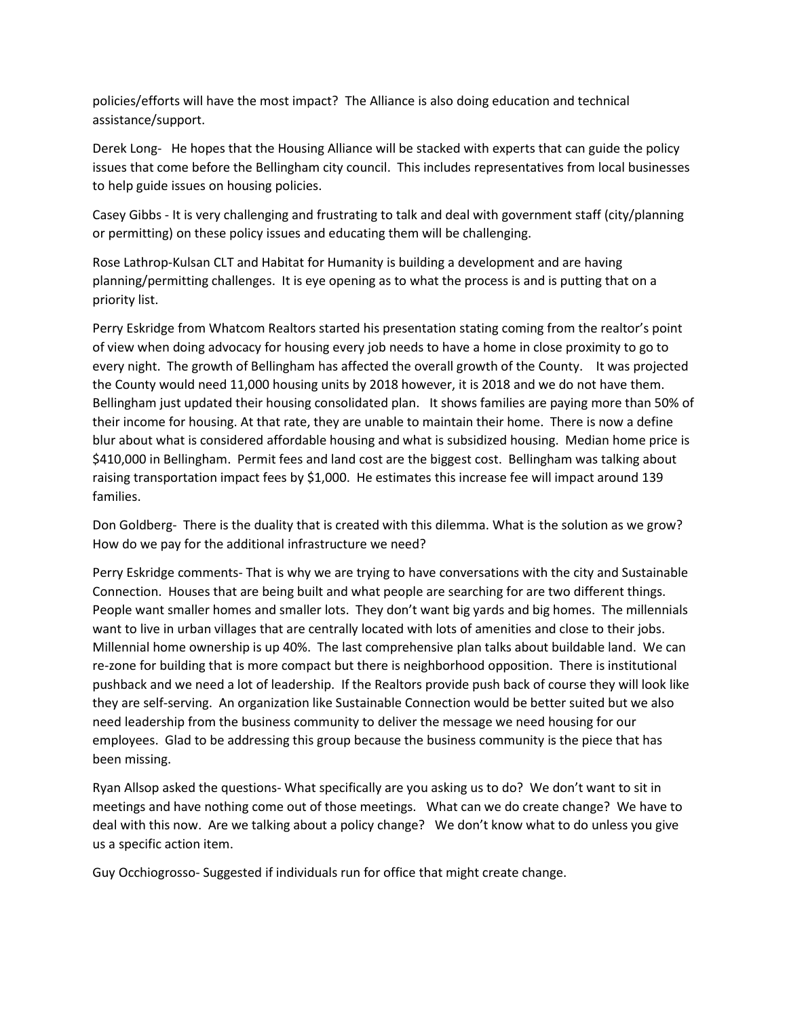policies/efforts will have the most impact? The Alliance is also doing education and technical assistance/support.

Derek Long- He hopes that the Housing Alliance will be stacked with experts that can guide the policy issues that come before the Bellingham city council. This includes representatives from local businesses to help guide issues on housing policies.

Casey Gibbs - It is very challenging and frustrating to talk and deal with government staff (city/planning or permitting) on these policy issues and educating them will be challenging.

Rose Lathrop-Kulsan CLT and Habitat for Humanity is building a development and are having planning/permitting challenges. It is eye opening as to what the process is and is putting that on a priority list.

Perry Eskridge from Whatcom Realtors started his presentation stating coming from the realtor's point of view when doing advocacy for housing every job needs to have a home in close proximity to go to every night. The growth of Bellingham has affected the overall growth of the County. It was projected the County would need 11,000 housing units by 2018 however, it is 2018 and we do not have them. Bellingham just updated their housing consolidated plan. It shows families are paying more than 50% of their income for housing. At that rate, they are unable to maintain their home. There is now a define blur about what is considered affordable housing and what is subsidized housing. Median home price is \$410,000 in Bellingham. Permit fees and land cost are the biggest cost. Bellingham was talking about raising transportation impact fees by \$1,000. He estimates this increase fee will impact around 139 families.

Don Goldberg- There is the duality that is created with this dilemma. What is the solution as we grow? How do we pay for the additional infrastructure we need?

Perry Eskridge comments- That is why we are trying to have conversations with the city and Sustainable Connection. Houses that are being built and what people are searching for are two different things. People want smaller homes and smaller lots. They don't want big yards and big homes. The millennials want to live in urban villages that are centrally located with lots of amenities and close to their jobs. Millennial home ownership is up 40%. The last comprehensive plan talks about buildable land. We can re-zone for building that is more compact but there is neighborhood opposition. There is institutional pushback and we need a lot of leadership. If the Realtors provide push back of course they will look like they are self-serving. An organization like Sustainable Connection would be better suited but we also need leadership from the business community to deliver the message we need housing for our employees. Glad to be addressing this group because the business community is the piece that has been missing.

Ryan Allsop asked the questions- What specifically are you asking us to do? We don't want to sit in meetings and have nothing come out of those meetings. What can we do create change? We have to deal with this now. Are we talking about a policy change? We don't know what to do unless you give us a specific action item.

Guy Occhiogrosso- Suggested if individuals run for office that might create change.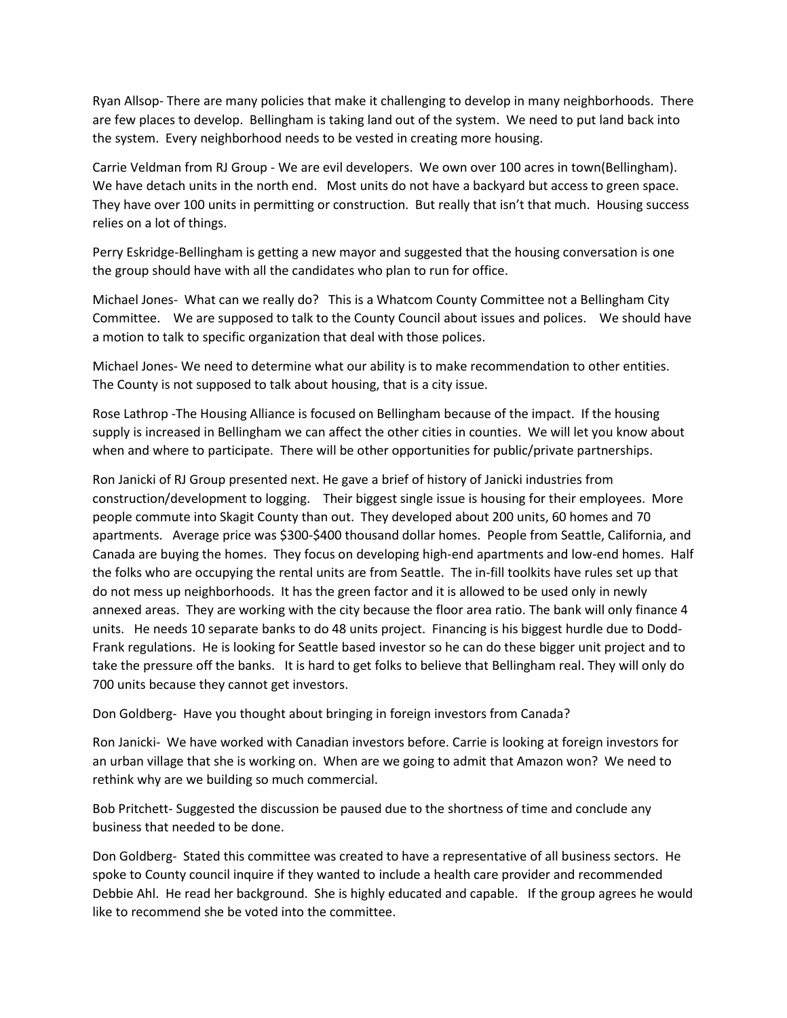Ryan Allsop- There are many policies that make it challenging to develop in many neighborhoods. There are few places to develop. Bellingham is taking land out of the system. We need to put land back into the system. Every neighborhood needs to be vested in creating more housing.

Carrie Veldman from RJ Group - We are evil developers. We own over 100 acres in town(Bellingham). We have detach units in the north end. Most units do not have a backyard but access to green space. They have over 100 units in permitting or construction. But really that isn't that much. Housing success relies on a lot of things.

Perry Eskridge-Bellingham is getting a new mayor and suggested that the housing conversation is one the group should have with all the candidates who plan to run for office.

Michael Jones- What can we really do? This is a Whatcom County Committee not a Bellingham City Committee. We are supposed to talk to the County Council about issues and polices. We should have a motion to talk to specific organization that deal with those polices.

Michael Jones- We need to determine what our ability is to make recommendation to other entities. The County is not supposed to talk about housing, that is a city issue.

Rose Lathrop -The Housing Alliance is focused on Bellingham because of the impact. If the housing supply is increased in Bellingham we can affect the other cities in counties. We will let you know about when and where to participate. There will be other opportunities for public/private partnerships.

Ron Janicki of RJ Group presented next. He gave a brief of history of Janicki industries from construction/development to logging. Their biggest single issue is housing for their employees. More people commute into Skagit County than out. They developed about 200 units, 60 homes and 70 apartments. Average price was \$300-\$400 thousand dollar homes. People from Seattle, California, and Canada are buying the homes. They focus on developing high-end apartments and low-end homes. Half the folks who are occupying the rental units are from Seattle. The in-fill toolkits have rules set up that do not mess up neighborhoods. It has the green factor and it is allowed to be used only in newly annexed areas. They are working with the city because the floor area ratio. The bank will only finance 4 units. He needs 10 separate banks to do 48 units project. Financing is his biggest hurdle due to Dodd-Frank regulations. He is looking for Seattle based investor so he can do these bigger unit project and to take the pressure off the banks. It is hard to get folks to believe that Bellingham real. They will only do 700 units because they cannot get investors.

Don Goldberg- Have you thought about bringing in foreign investors from Canada?

Ron Janicki- We have worked with Canadian investors before. Carrie is looking at foreign investors for an urban village that she is working on. When are we going to admit that Amazon won? We need to rethink why are we building so much commercial.

Bob Pritchett- Suggested the discussion be paused due to the shortness of time and conclude any business that needed to be done.

Don Goldberg- Stated this committee was created to have a representative of all business sectors. He spoke to County council inquire if they wanted to include a health care provider and recommended Debbie Ahl. He read her background. She is highly educated and capable. If the group agrees he would like to recommend she be voted into the committee.